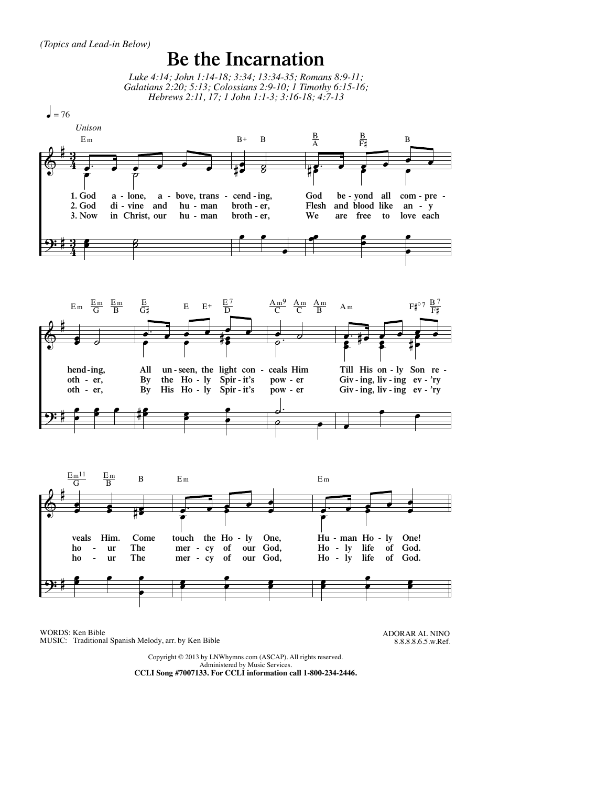## **Be the Incarnation**

Luke 4:14; John 1:14-18; 3:34; 13:34-35; Romans 8:9-11; Galatians 2:20; 5:13; Colossians 2:9-10; 1 Timothy 6:15-16; Hebrews 2:11, 17; 1 John 1:1-3; 3:16-18; 4:7-13



WORDS: Ken Bible MUSIC: Traditional Spanish Melody, arr. by Ken Bible ADORAR AL NINO 8.8.8.8.6.5.w.Ref.

Copyright © 2013 by LNWhymns.com (ASCAP). All rights reserved. Administered by Music Services.

CCLI Song #7007133. For CCLI information call 1-800-234-2446.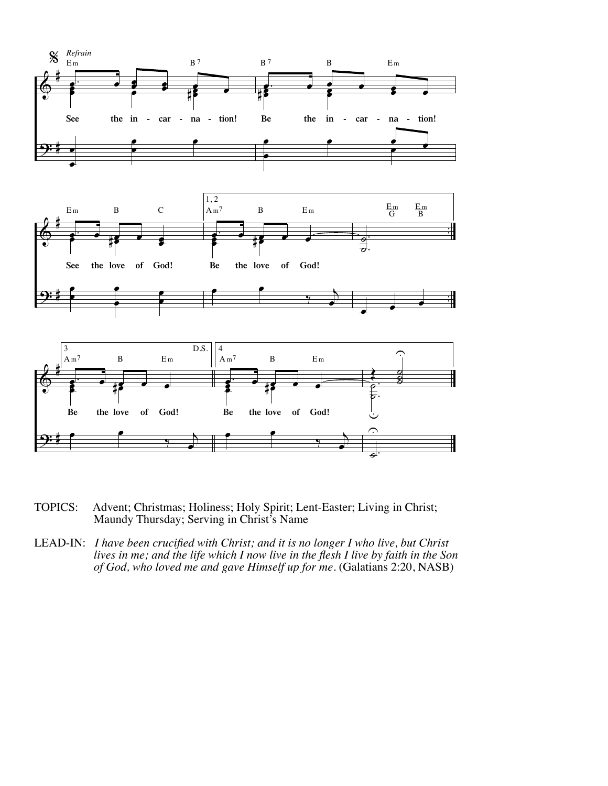

- TOPICS: Advent; Christmas; Holiness; Holy Spirit; Lent-Easter; Living in Christ; Maundy Thursday; Serving in Christ's Name
- LEAD-IN: *I have been crucified with Christ; and it is no longer I who live, but Christ lives in me; and the life which I now live in the flesh I live by faith in the Son of God, who loved me and gave Himself up for me.* (Galatians 2:20, NASB)